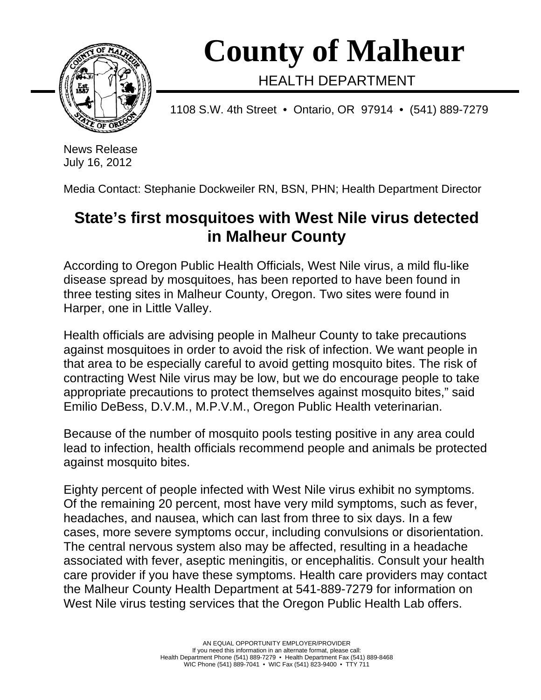

 **County of Malheur** 

HEALTH DEPARTMENT

1108 S.W. 4th Street • Ontario, OR 97914 • (541) 889-7279

News Release July 16, 2012

Media Contact: Stephanie Dockweiler RN, BSN, PHN; Health Department Director

## **State's first mosquitoes with West Nile virus detected in Malheur County**

According to Oregon Public Health Officials, West Nile virus, a mild flu-like disease spread by mosquitoes, has been reported to have been found in three testing sites in Malheur County, Oregon. Two sites were found in Harper, one in Little Valley.

Health officials are advising people in Malheur County to take precautions against mosquitoes in order to avoid the risk of infection. We want people in that area to be especially careful to avoid getting mosquito bites. The risk of contracting West Nile virus may be low, but we do encourage people to take appropriate precautions to protect themselves against mosquito bites," said Emilio DeBess, D.V.M., M.P.V.M., Oregon Public Health veterinarian.

Because of the number of mosquito pools testing positive in any area could lead to infection, health officials recommend people and animals be protected against mosquito bites.

Eighty percent of people infected with West Nile virus exhibit no symptoms. Of the remaining 20 percent, most have very mild symptoms, such as fever, headaches, and nausea, which can last from three to six days. In a few cases, more severe symptoms occur, including convulsions or disorientation. The central nervous system also may be affected, resulting in a headache associated with fever, aseptic meningitis, or encephalitis. Consult your health care provider if you have these symptoms. Health care providers may contact the Malheur County Health Department at 541-889-7279 for information on West Nile virus testing services that the Oregon Public Health Lab offers.